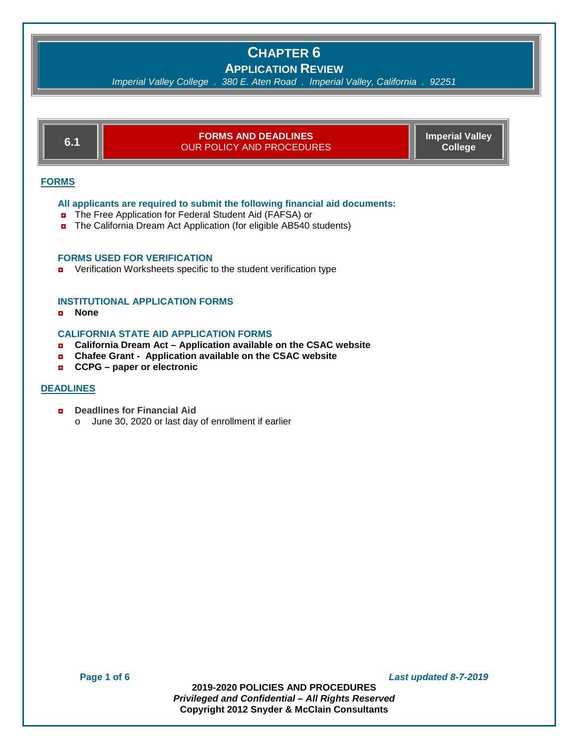**APPLICATION REVIEW**

*Imperial Valley College . 380 E. Aten Road . Imperial Valley, California . 92251*

|              | <b>FORMS AND DEADLINES</b><br>6.1<br><b>OUR POLICY AND PROCEDURES</b>                                                                                                                                              | <b>Imperial Valley</b><br><b>College</b> |
|--------------|--------------------------------------------------------------------------------------------------------------------------------------------------------------------------------------------------------------------|------------------------------------------|
| <b>FORMS</b> |                                                                                                                                                                                                                    |                                          |
| ø<br>ø       | All applicants are required to submit the following financial aid documents:<br>The Free Application for Federal Student Aid (FAFSA) or<br>The California Dream Act Application (for eligible AB540 students)      |                                          |
| Ы            | <b>FORMS USED FOR VERIFICATION</b><br>Verification Worksheets specific to the student verification type                                                                                                            |                                          |
| ы            | <b>INSTITUTIONAL APPLICATION FORMS</b><br><b>None</b>                                                                                                                                                              |                                          |
| D<br>о<br>Ы  | <b>CALIFORNIA STATE AID APPLICATION FORMS</b><br>California Dream Act - Application available on the CSAC website<br>Chafee Grant - Application available on the CSAC website<br><b>CCPG</b> – paper or electronic |                                          |
|              | <b>DEADLINES</b>                                                                                                                                                                                                   |                                          |
| Ы            | <b>Deadlines for Financial Aid</b><br>June 30, 2020 or last day of enrollment if earlier<br>$\circ$                                                                                                                |                                          |

**Page 1 of 6** *Last updated 8-7-2019*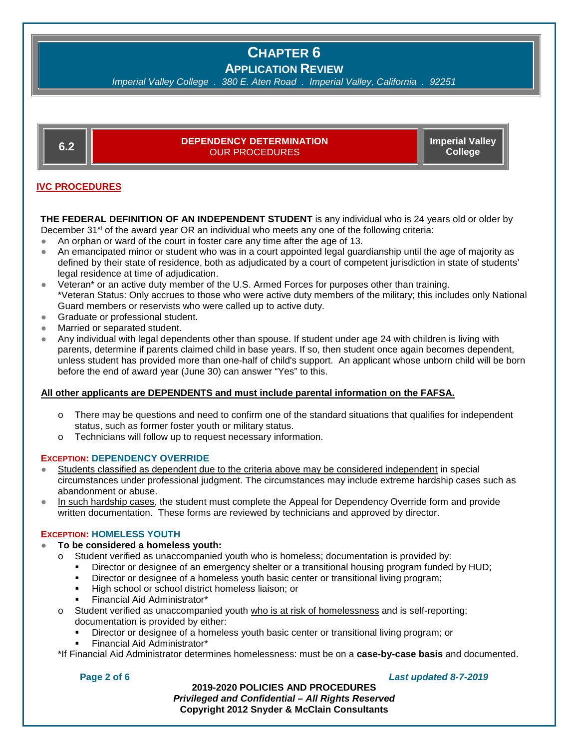**APPLICATION REVIEW**

*Imperial Valley College . 380 E. Aten Road . Imperial Valley, California . 92251*

| <b>DEPENDENCY DETERMINATION</b><br><b>Imperial Valley</b><br>ド つ<br>College<br><b>OUR PROCEDURES</b> |
|------------------------------------------------------------------------------------------------------|
|------------------------------------------------------------------------------------------------------|

### **IVC PROCEDURES**

**THE FEDERAL DEFINITION OF AN INDEPENDENT STUDENT** is any individual who is 24 years old or older by December  $31^{st}$  of the award year OR an individual who meets any one of the following criteria:

- An orphan or ward of the court in foster care any time after the age of 13.
- An emancipated minor or student who was in a court appointed legal guardianship until the age of majority as defined by their state of residence, both as adjudicated by a court of competent jurisdiction in state of students' legal residence at time of adjudication.
- Veteran\* or an active duty member of the U.S. Armed Forces for purposes other than training. \*Veteran Status: Only accrues to those who were active duty members of the military; this includes only National Guard members or reservists who were called up to active duty.
- Graduate or professional student.
- Married or separated student.
- Any individual with legal dependents other than spouse. If student under age 24 with children is living with parents, determine if parents claimed child in base years. If so, then student once again becomes dependent, unless student has provided more than one-half of child's support. An applicant whose unborn child will be born before the end of award year (June 30) can answer "Yes" to this.

#### **All other applicants are DEPENDENTS and must include parental information on the FAFSA.**

- $\circ$  There may be questions and need to confirm one of the standard situations that qualifies for independent status, such as former foster youth or military status.
- o Technicians will follow up to request necessary information.

#### **EXCEPTION: DEPENDENCY OVERRIDE**

- Students classified as dependent due to the criteria above may be considered independent in special circumstances under professional judgment. The circumstances may include extreme hardship cases such as abandonment or abuse.
- In such hardship cases, the student must complete the Appeal for Dependency Override form and provide written documentation. These forms are reviewed by technicians and approved by director.

#### **EXCEPTION: HOMELESS YOUTH**

#### ● **To be considered a homeless youth:**

- Student verified as unaccompanied youth who is homeless; documentation is provided by:
- Director or designee of an emergency shelter or a transitional housing program funded by HUD;
- Director or designee of a homeless youth basic center or transitional living program;
- High school or school district homeless liaison; or
- Financial Aid Administrator\*
- Student verified as unaccompanied youth who is at risk of homelessness and is self-reporting; documentation is provided by either:
	- Director or designee of a homeless youth basic center or transitional living program; or
	- Financial Aid Administrator\*

\*If Financial Aid Administrator determines homelessness: must be on a **case-by-case basis** and documented.

### **Page 2 of 6** *Last updated 8-7-2019*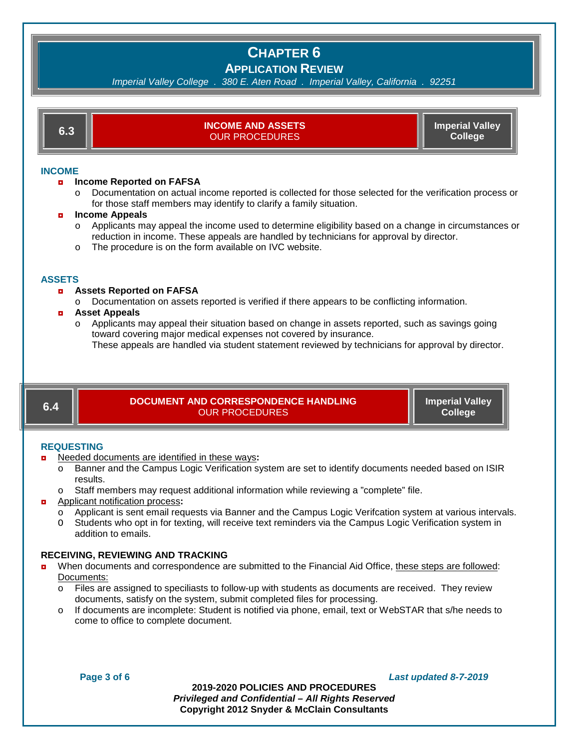### **APPLICATION REVIEW**

*Imperial Valley College . 380 E. Aten Road . Imperial Valley, California . 92251*

**6.3 INCOME AND ASSETS** OUR PROCEDURES **Imperial Valley College**

#### **INCOME**

- ◘ **Income Reported on FAFSA**
	- o Documentation on actual income reported is collected for those selected for the verification process or for those staff members may identify to clarify a family situation.

#### ◘ **Income Appeals**

- o Applicants may appeal the income used to determine eligibility based on a change in circumstances or reduction in income. These appeals are handled by technicians for approval by director.
- o The procedure is on the form available on IVC website.

#### **ASSETS**

#### ◘ **Assets Reported on FAFSA**

o Documentation on assets reported is verified if there appears to be conflicting information.

#### ◘ **Asset Appeals**

o Applicants may appeal their situation based on change in assets reported, such as savings going toward covering major medical expenses not covered by insurance.

These appeals are handled via student statement reviewed by technicians for approval by director.

**6.4 DOCUMENT AND CORRESPONDENCE HANDLING** OUR PROCEDURES

**Imperial Valley College**

#### **REQUESTING**

- ◘ Needed documents are identified in these ways**:** 
	- o Banner and the Campus Logic Verification system are set to identify documents needed based on ISIR results.
	- o Staff members may request additional information while reviewing a "complete" file.
- ◘ Applicant notification process**:**
	- o Applicant is sent email requests via Banner and the Campus Logic Verifcation system at various intervals.<br>O Students who opt in for texting, will receive text reminders via the Campus Logic Verification system in
	- Students who opt in for texting, will receive text reminders via the Campus Logic Verification system in addition to emails.

#### **RECEIVING, REVIEWING AND TRACKING**

- When documents and correspondence are submitted to the Financial Aid Office, these steps are followed: Documents:
	- o Files are assigned to speciliasts to follow-up with students as documents are received. They review documents, satisfy on the system, submit completed files for processing.
	- o If documents are incomplete: Student is notified via phone, email, text or WebSTAR that s/he needs to come to office to complete document.

**Page 3 of 6** *Last updated 8-7-2019*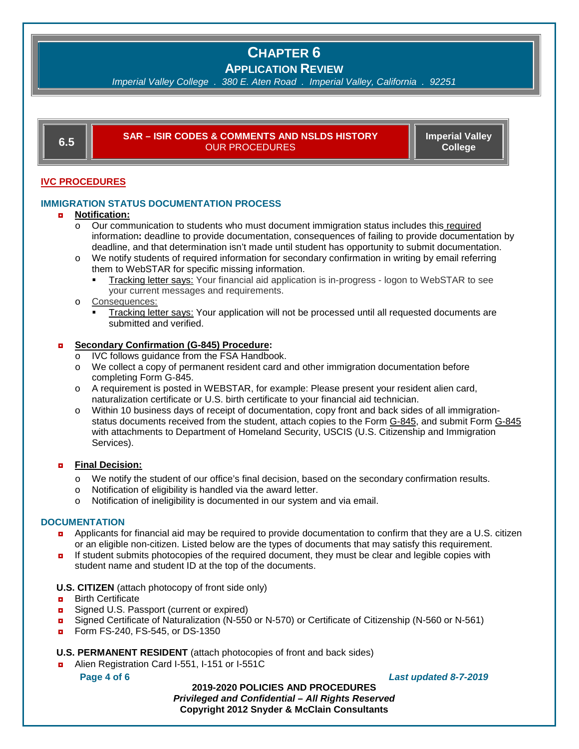**APPLICATION REVIEW**

*Imperial Valley College . 380 E. Aten Road . Imperial Valley, California . 92251*

#### **6.5 SAR – ISIR CODES & COMMENTS AND NSLDS HISTORY** OUR PROCEDURES

<u> 1989 - Johann Stein, marwolaethau a bhann an t-Amhair Aonaichte ann an t-Amhair Aonaichte ann an t-Amhair Aon</u>

**Imperial Valley College**

### **IVC PROCEDURES**

### **IMMIGRATION STATUS DOCUMENTATION PROCESS**

#### ◘ **Notification:**

- o Our communication to students who must document immigration status includes this required information**:** deadline to provide documentation, consequences of failing to provide documentation by deadline, and that determination isn't made until student has opportunity to submit documentation.
- o We notify students of required information for secondary confirmation in writing by email referring them to WebSTAR for specific missing information.
	- Tracking letter says: Your financial aid application is in-progress logon to WebSTAR to see your current messages and requirements.
- o Consequences:
	- Tracking letter says: Your application will not be processed until all requested documents are submitted and verified.

#### ◘ **Secondary Confirmation (G-845) Procedure:**

- IVC follows quidance from the FSA Handbook.
- o We collect a copy of permanent resident card and other immigration documentation before completing Form G-845.
- o A requirement is posted in WEBSTAR, for example: Please present your resident alien card, naturalization certificate or U.S. birth certificate to your financial aid technician.
- o Within 10 business days of receipt of documentation, copy front and back sides of all immigrationstatus documents received from the student, attach copies to the Form [G-845,](http://www.uscis.gov/files/form/g-845.pdf) and submit Form [G-845](http://www.uscis.gov/files/form/g-845.pdf) with attachments to Department of Homeland Security, USCIS (U.S. Citizenship and Immigration Services).

#### ◘ **Final Decision:**

- $\circ$  We notify the student of our office's final decision, based on the secondary confirmation results.<br>  $\circ$  Notification of eligibility is handled via the award letter.
- Notification of eligibility is handled via the award letter.
- o Notification of ineligibility is documented in our system and via email.

#### **DOCUMENTATION**

- ◘ Applicants for financial aid may be required to provide documentation to confirm that they are a U.S. citizen or an eligible non-citizen. Listed below are the types of documents that may satisfy this requirement.
- **n** If student submits photocopies of the required document, they must be clear and legible copies with student name and student ID at the top of the documents.

#### **U.S. CITIZEN** (attach photocopy of front side only)

- **<u>n</u>** Birth Certificate
- ◘ Signed U.S. Passport (current or expired)
- ◘ Signed Certificate of Naturalization (N-550 or N-570) or Certificate of Citizenship (N-560 or N-561)
- Form FS-240, FS-545, or DS-1350

#### **U.S. PERMANENT RESIDENT** (attach photocopies of front and back sides)

◘ Alien Registration Card I-551, I-151 or I-551C

#### **Page 4 of 6** *Last updated 8-7-2019*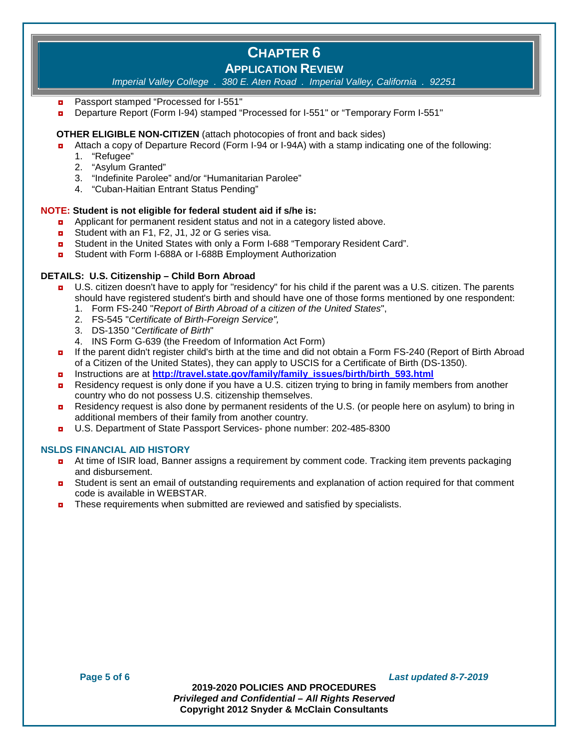### **APPLICATION REVIEW**

*Imperial Valley College . 380 E. Aten Road . Imperial Valley, California . 92251*

- Passport stamped "Processed for I-551"
- ◘ Departure Report (Form I-94) stamped "Processed for I-551" or "Temporary Form I-551"

#### **OTHER ELIGIBLE NON-CITIZEN** (attach photocopies of front and back sides)

- **a** Attach a copy of Departure Record (Form I-94 or I-94A) with a stamp indicating one of the following:
	- 1. "Refugee"
	- 2. "Asylum Granted"
	- 3. "Indefinite Parolee" and/or "Humanitarian Parolee"
	- 4. "Cuban-Haitian Entrant Status Pending"

#### **NOTE: Student is not eligible for federal student aid if s/he is:**

- ◘ Applicant for permanent resident status and not in a category listed above.
- 
- **□** Student with an F1, F2, J1, J2 or G series visa.<br>■ Student in the United States with only a Form I-Student in the United States with only a Form I-688 "Temporary Resident Card".
- **D** Student with Form I-688A or I-688B Employment Authorization

#### **DETAILS: U.S. Citizenship – Child Born Abroad**

- ◘ U.S. citizen doesn't have to apply for "residency" for his child if the parent was a U.S. citizen. The parents should have registered student's birth and should have one of those forms mentioned by one respondent:
	- 1. Form FS-240 "*Report of Birth Abroad of a citizen of the United States*",
	- 2. FS-545 "*Certificate of Birth-Foreign Service",*
	- 3. DS-1350 "*Certificate of Birth*"
	- 4. INS Form G-639 (the Freedom of Information Act Form)
- ◘ If the parent didn't register child's birth at the time and did not obtain a Form FS-240 (Report of Birth Abroad of a Citizen of the United States), they can apply to USCIS for a Certificate of Birth (DS-1350).
- ◘ Instructions are at **[http://travel.state.gov/family/family\\_issues/birth/birth\\_593.html](http://travel.state.gov/family/family_issues/birth/birth_593.html)**
- Residency request is only done if you have a U.S. citizen trying to bring in family members from another country who do not possess U.S. citizenship themselves.
- **n** Residency request is also done by permanent residents of the U.S. (or people here on asylum) to bring in additional members of their family from another country.
- ◘ U.S. Department of State Passport Services- phone number: 202-485-8300

#### **NSLDS FINANCIAL AID HISTORY**

- **D** At time of ISIR load, Banner assigns a requirement by comment code. Tracking item prevents packaging and disbursement.
- **D** Student is sent an email of outstanding requirements and explanation of action required for that comment code is available in WEBSTAR.
- **n** These requirements when submitted are reviewed and satisfied by specialists.

**Page 5 of 6** *Last updated 8-7-2019*